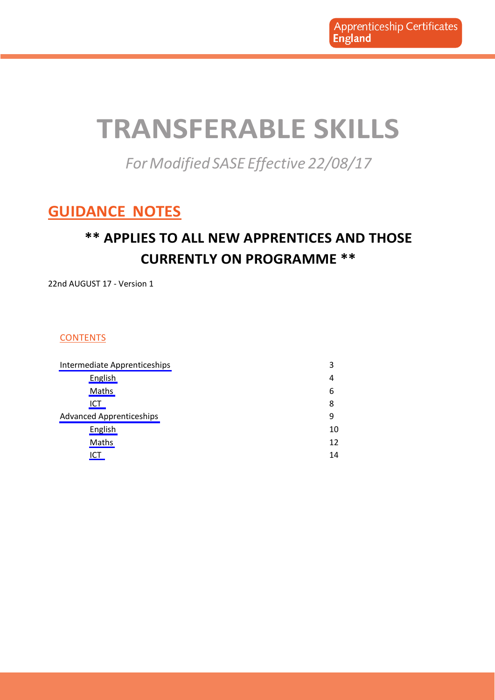## <span id="page-0-0"></span>**TRANSFERABLE SKILLS**

*For Modified SASE Effective 22/08/17* 

### **GUIDANCE NOTES**

### **\*\* APPLIES TO ALL NEW APPRENTICES AND THOSE CURRENTLY ON PROGRAMME \*\***

22nd AUGUST 17 - Version 1

### **CONTENTS**

| Intermediate Apprenticeships    | 3  |
|---------------------------------|----|
| English                         | 4  |
| Maths                           | 6  |
| ICT                             | 8  |
| <b>Advanced Apprenticeships</b> | 9  |
| English                         | 10 |
| Maths                           | 12 |
| ICT                             | 14 |
|                                 |    |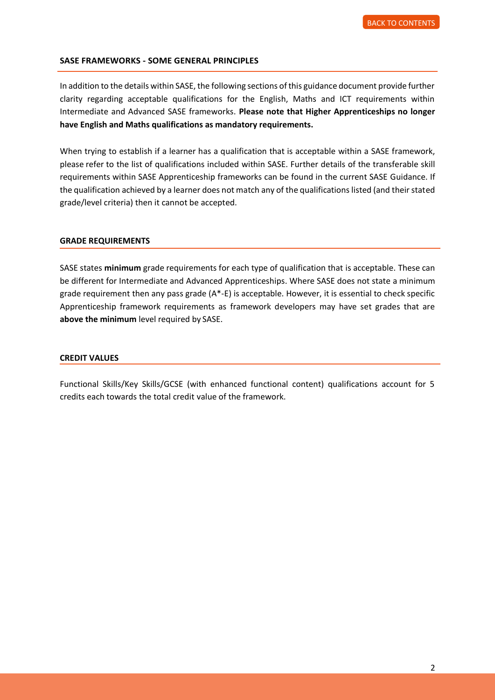#### **SASE FRAMEWORKS - SOME GENERAL PRINCIPLES**

In addition to the details within SASE, the following sections of this guidance document provide further clarity regarding acceptable qualifications for the English, Maths and ICT requirements within Intermediate and Advanced SASE frameworks. **Please note that Higher Apprenticeships no longer have English and Maths qualifications as mandatory requirements.** 

When trying to establish if a learner has a qualification that is acceptable within a SASE framework, please refer to the list of qualifications included within SASE. Further details of the transferable skill requirements within SASE Apprenticeship frameworks can be found in the current SASE Guidance. If the qualification achieved by a learner does not match any of the qualifications listed (and their stated grade/level criteria) then it cannot be accepted.

#### **GRADE REQUIREMENTS**

SASE states **minimum** grade requirements for each type of qualification that is acceptable. These can be different for Intermediate and Advanced Apprenticeships. Where SASE does not state a minimum grade requirement then any pass grade  $(A^* - E)$  is acceptable. However, it is essential to check specific Apprenticeship framework requirements as framework developers may have set grades that are **above the minimum** level required by SASE.

#### **CREDIT VALUES**

Functional Skills/Key Skills/GCSE (with enhanced functional content) qualifications account for 5 credits each towards the total credit value of the framework.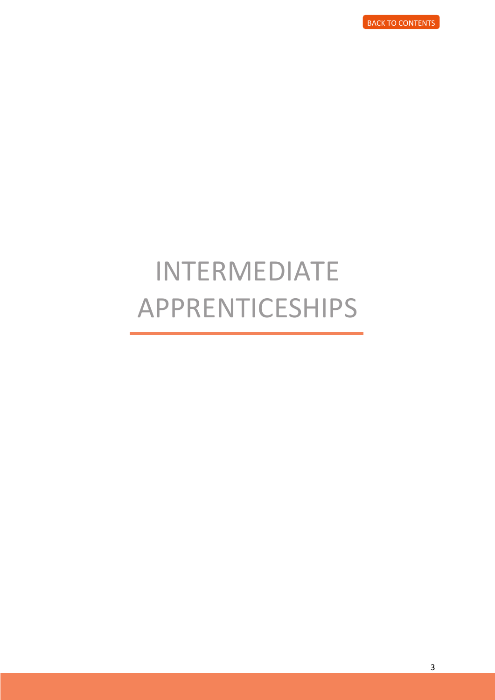## <span id="page-2-0"></span>INTERMEDIATE APPRENTICESHIPS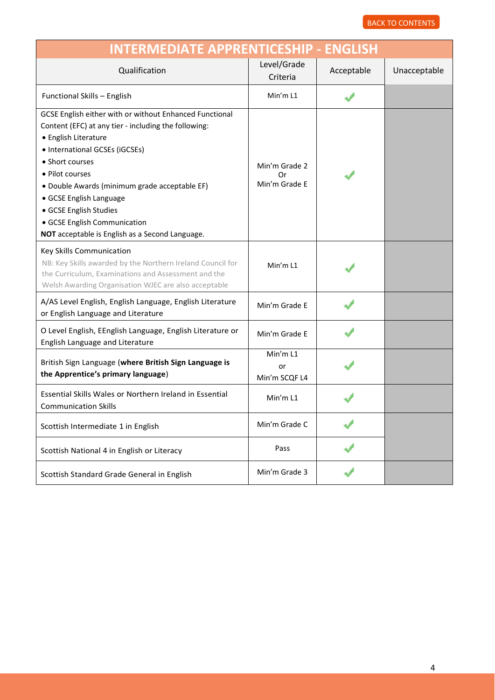<span id="page-3-0"></span>

| <b>INTERMEDIATE APPRENTICESHIP - ENGLISH</b>                                                                                                                                                                                                                                                                                                                                                             |                                      |            |              |
|----------------------------------------------------------------------------------------------------------------------------------------------------------------------------------------------------------------------------------------------------------------------------------------------------------------------------------------------------------------------------------------------------------|--------------------------------------|------------|--------------|
| Qualification                                                                                                                                                                                                                                                                                                                                                                                            | Level/Grade<br>Criteria              | Acceptable | Unacceptable |
| Functional Skills - English                                                                                                                                                                                                                                                                                                                                                                              | Min'm L1                             |            |              |
| GCSE English either with or without Enhanced Functional<br>Content (EFC) at any tier - including the following:<br>• English Literature<br>• International GCSEs (iGCSEs)<br>• Short courses<br>• Pilot courses<br>· Double Awards (minimum grade acceptable EF)<br>• GCSE English Language<br>• GCSE English Studies<br>• GCSE English Communication<br>NOT acceptable is English as a Second Language. | Min'm Grade 2<br>Ωr<br>Min'm Grade E |            |              |
| Key Skills Communication<br>NB: Key Skills awarded by the Northern Ireland Council for<br>the Curriculum, Examinations and Assessment and the<br>Welsh Awarding Organisation WJEC are also acceptable                                                                                                                                                                                                    | Min'm L1                             |            |              |
| A/AS Level English, English Language, English Literature<br>or English Language and Literature                                                                                                                                                                                                                                                                                                           | Min'm Grade E                        |            |              |
| O Level English, EEnglish Language, English Literature or<br>English Language and Literature                                                                                                                                                                                                                                                                                                             | Min'm Grade E                        |            |              |
| British Sign Language (where British Sign Language is<br>the Apprentice's primary language)                                                                                                                                                                                                                                                                                                              | Min'm L1<br>or<br>Min'm SCQF L4      |            |              |
| Essential Skills Wales or Northern Ireland in Essential<br><b>Communication Skills</b>                                                                                                                                                                                                                                                                                                                   | Min'm L1                             |            |              |
| Scottish Intermediate 1 in English                                                                                                                                                                                                                                                                                                                                                                       | Min'm Grade C                        |            |              |
| Scottish National 4 in English or Literacy                                                                                                                                                                                                                                                                                                                                                               | Pass                                 |            |              |
| Scottish Standard Grade General in English                                                                                                                                                                                                                                                                                                                                                               | Min'm Grade 3                        |            |              |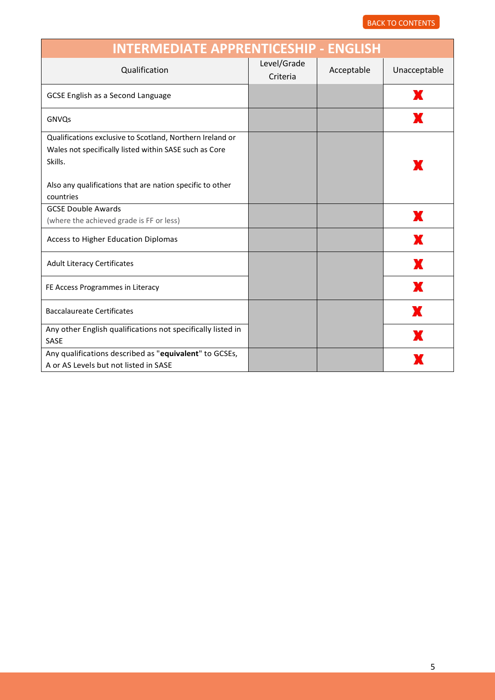| <b>INTERMEDIATE APPRENTICESHIP - ENGLISH</b>                                                                                                                                                |                         |            |              |
|---------------------------------------------------------------------------------------------------------------------------------------------------------------------------------------------|-------------------------|------------|--------------|
| Qualification                                                                                                                                                                               | Level/Grade<br>Criteria | Acceptable | Unacceptable |
| <b>GCSE English as a Second Language</b>                                                                                                                                                    |                         |            | ж            |
| GNVQs                                                                                                                                                                                       |                         |            | X            |
| Qualifications exclusive to Scotland, Northern Ireland or<br>Wales not specifically listed within SASE such as Core<br>Skills.<br>Also any qualifications that are nation specific to other |                         |            |              |
| countries<br><b>GCSE Double Awards</b>                                                                                                                                                      |                         |            |              |
| (where the achieved grade is FF or less)                                                                                                                                                    |                         |            | X            |
| Access to Higher Education Diplomas                                                                                                                                                         |                         |            |              |
| <b>Adult Literacy Certificates</b>                                                                                                                                                          |                         |            | x            |
| FE Access Programmes in Literacy                                                                                                                                                            |                         |            | x            |
| <b>Baccalaureate Certificates</b>                                                                                                                                                           |                         |            | X            |
| Any other English qualifications not specifically listed in<br>SASE                                                                                                                         |                         |            |              |
| Any qualifications described as "equivalent" to GCSEs,<br>A or AS Levels but not listed in SASE                                                                                             |                         |            |              |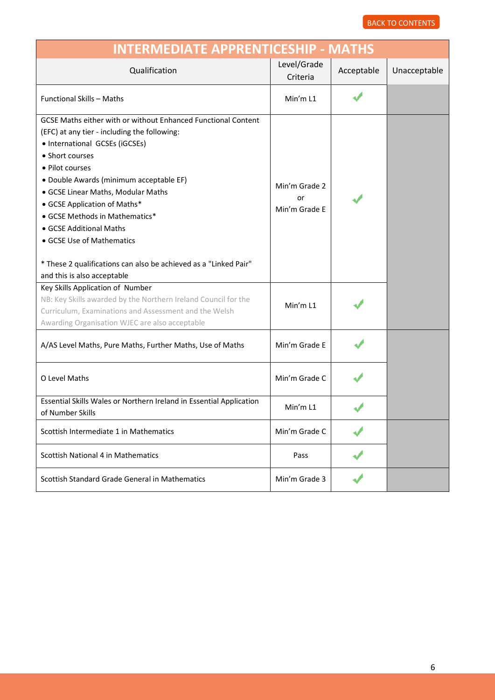<span id="page-5-0"></span>

| <b>INTERMEDIATE APPRENTICESHIP - MATHS</b>                                                                                                                                                                                                                                                                                                                                                                                                                                                          |                                      |            |              |  |
|-----------------------------------------------------------------------------------------------------------------------------------------------------------------------------------------------------------------------------------------------------------------------------------------------------------------------------------------------------------------------------------------------------------------------------------------------------------------------------------------------------|--------------------------------------|------------|--------------|--|
| Qualification                                                                                                                                                                                                                                                                                                                                                                                                                                                                                       | Level/Grade<br>Criteria              | Acceptable | Unacceptable |  |
| <b>Functional Skills - Maths</b>                                                                                                                                                                                                                                                                                                                                                                                                                                                                    | Min'm L1                             |            |              |  |
| GCSE Maths either with or without Enhanced Functional Content<br>(EFC) at any tier - including the following:<br>• International GCSEs (iGCSEs)<br>• Short courses<br>• Pilot courses<br>· Double Awards (minimum acceptable EF)<br>• GCSE Linear Maths, Modular Maths<br>• GCSE Application of Maths*<br>• GCSE Methods in Mathematics*<br>• GCSE Additional Maths<br>• GCSE Use of Mathematics<br>* These 2 qualifications can also be achieved as a "Linked Pair"<br>and this is also acceptable | Min'm Grade 2<br>or<br>Min'm Grade E |            |              |  |
| Key Skills Application of Number<br>NB: Key Skills awarded by the Northern Ireland Council for the<br>Curriculum, Examinations and Assessment and the Welsh<br>Awarding Organisation WJEC are also acceptable                                                                                                                                                                                                                                                                                       | Min'm L1                             |            |              |  |
| A/AS Level Maths, Pure Maths, Further Maths, Use of Maths                                                                                                                                                                                                                                                                                                                                                                                                                                           | Min'm Grade E                        |            |              |  |
| O Level Maths                                                                                                                                                                                                                                                                                                                                                                                                                                                                                       | Min'm Grade C                        |            |              |  |
| Essential Skills Wales or Northern Ireland in Essential Application<br>of Number Skills                                                                                                                                                                                                                                                                                                                                                                                                             | Min'm L1                             |            |              |  |
| Scottish Intermediate 1 in Mathematics                                                                                                                                                                                                                                                                                                                                                                                                                                                              | Min'm Grade C                        |            |              |  |
| Scottish National 4 in Mathematics                                                                                                                                                                                                                                                                                                                                                                                                                                                                  | Pass                                 |            |              |  |
| Scottish Standard Grade General in Mathematics                                                                                                                                                                                                                                                                                                                                                                                                                                                      | Min'm Grade 3                        |            |              |  |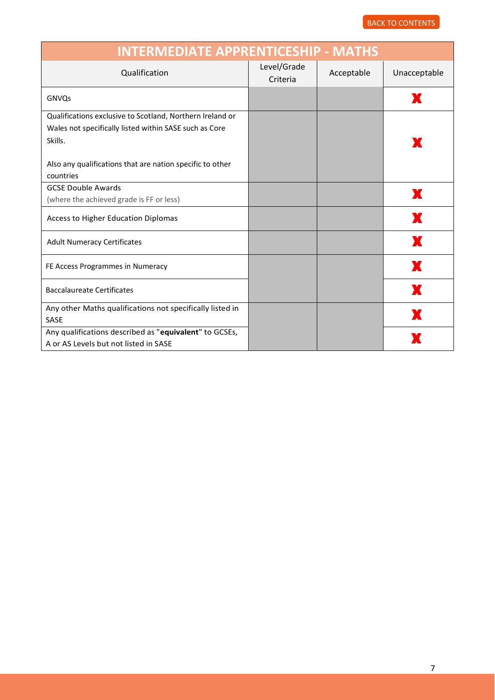| <b>INTERMEDIATE APPRENTICESHIP - MATHS</b>                                                                                                                                                               |                         |            |              |
|----------------------------------------------------------------------------------------------------------------------------------------------------------------------------------------------------------|-------------------------|------------|--------------|
| Qualification                                                                                                                                                                                            | Level/Grade<br>Criteria | Acceptable | Unacceptable |
| GNVQs                                                                                                                                                                                                    |                         |            | х            |
| Qualifications exclusive to Scotland, Northern Ireland or<br>Wales not specifically listed within SASE such as Core<br>Skills.<br>Also any qualifications that are nation specific to other<br>countries |                         |            | x            |
| <b>GCSE Double Awards</b><br>(where the achieved grade is FF or less)                                                                                                                                    |                         |            | x            |
| Access to Higher Education Diplomas                                                                                                                                                                      |                         |            | x            |
| <b>Adult Numeracy Certificates</b>                                                                                                                                                                       |                         |            | x            |
| FE Access Programmes in Numeracy                                                                                                                                                                         |                         |            | X            |
| <b>Baccalaureate Certificates</b>                                                                                                                                                                        |                         |            | X            |
| Any other Maths qualifications not specifically listed in<br>SASE                                                                                                                                        |                         |            | X            |
| Any qualifications described as "equivalent" to GCSEs,<br>A or AS Levels but not listed in SASE                                                                                                          |                         |            |              |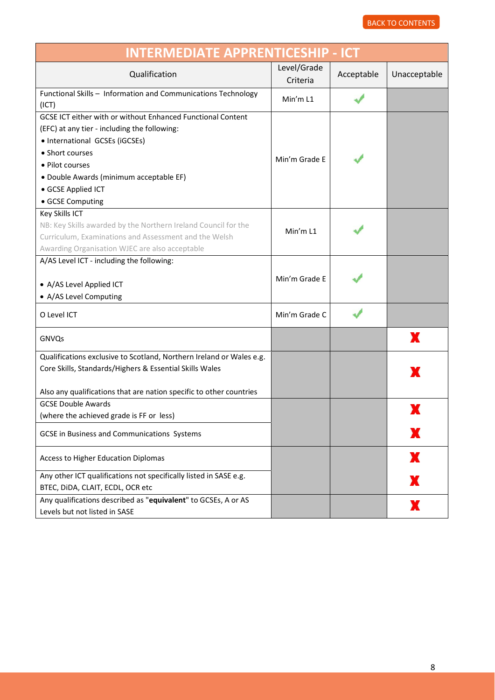<span id="page-7-0"></span>

| <b>INTERMEDIATE APPRENTICESHIP - ICT</b>                                                                                                                                                                                                                                 |                         |            |              |
|--------------------------------------------------------------------------------------------------------------------------------------------------------------------------------------------------------------------------------------------------------------------------|-------------------------|------------|--------------|
| Qualification                                                                                                                                                                                                                                                            | Level/Grade<br>Criteria | Acceptable | Unacceptable |
| Functional Skills - Information and Communications Technology<br>(ICT)                                                                                                                                                                                                   | Min'm L1                |            |              |
| GCSE ICT either with or without Enhanced Functional Content<br>(EFC) at any tier - including the following:<br>• International GCSEs (iGCSEs)<br>• Short courses<br>· Pilot courses<br>• Double Awards (minimum acceptable EF)<br>• GCSE Applied ICT<br>• GCSE Computing | Min'm Grade E           |            |              |
| <b>Key Skills ICT</b><br>NB: Key Skills awarded by the Northern Ireland Council for the<br>Curriculum, Examinations and Assessment and the Welsh<br>Awarding Organisation WJEC are also acceptable                                                                       | Min'm L1                |            |              |
| A/AS Level ICT - including the following:<br>• A/AS Level Applied ICT<br>• A/AS Level Computing                                                                                                                                                                          | Min'm Grade E           |            |              |
| O Level ICT                                                                                                                                                                                                                                                              | Min'm Grade C           |            |              |
| GNVQs                                                                                                                                                                                                                                                                    |                         |            | x            |
| Qualifications exclusive to Scotland, Northern Ireland or Wales e.g.<br>Core Skills, Standards/Highers & Essential Skills Wales<br>Also any qualifications that are nation specific to other countries                                                                   |                         |            | x            |
| <b>GCSE Double Awards</b><br>(where the achieved grade is FF or less)                                                                                                                                                                                                    |                         |            |              |
| GCSE in Business and Communications Systems                                                                                                                                                                                                                              |                         |            |              |
| Access to Higher Education Diplomas                                                                                                                                                                                                                                      |                         |            | X            |
| Any other ICT qualifications not specifically listed in SASE e.g.<br>BTEC, DIDA, CLAIT, ECDL, OCR etc                                                                                                                                                                    |                         |            | Ж            |
| Any qualifications described as "equivalent" to GCSEs, A or AS<br>Levels but not listed in SASE                                                                                                                                                                          |                         |            | x            |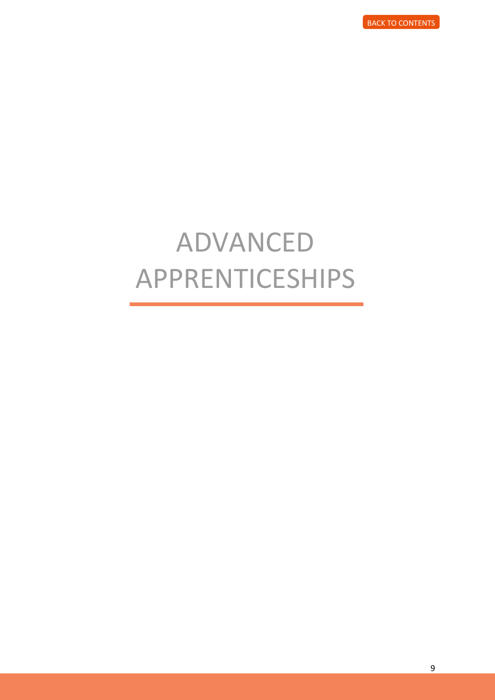# <span id="page-8-0"></span>ADVANCED APPRENTICESHIPS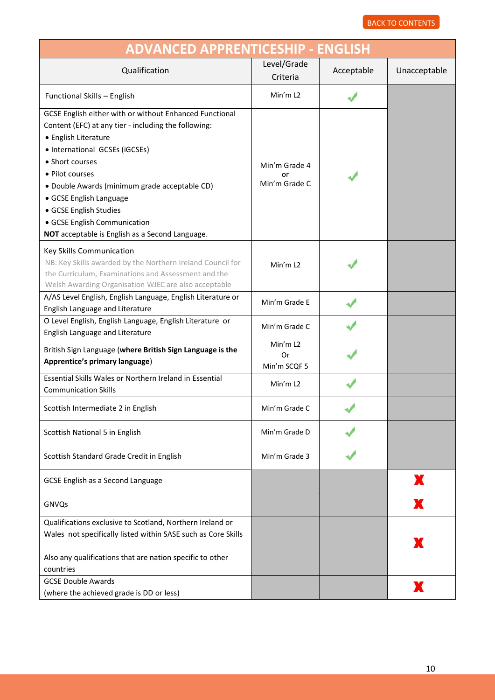<span id="page-9-0"></span>

| <b>ADVANCED APPRENTICESHIP - ENGLISH</b>                                                                                                                                                                                                                                                                                                                                                                 |                                      |            |              |
|----------------------------------------------------------------------------------------------------------------------------------------------------------------------------------------------------------------------------------------------------------------------------------------------------------------------------------------------------------------------------------------------------------|--------------------------------------|------------|--------------|
| Qualification                                                                                                                                                                                                                                                                                                                                                                                            | Level/Grade<br>Criteria              | Acceptable | Unacceptable |
| Functional Skills - English                                                                                                                                                                                                                                                                                                                                                                              | Min'm L <sub>2</sub>                 |            |              |
| GCSE English either with or without Enhanced Functional<br>Content (EFC) at any tier - including the following:<br>• English Literature<br>• International GCSEs (iGCSEs)<br>• Short courses<br>• Pilot courses<br>· Double Awards (minimum grade acceptable CD)<br>• GCSE English Language<br>• GCSE English Studies<br>• GCSE English Communication<br>NOT acceptable is English as a Second Language. | Min'm Grade 4<br>or<br>Min'm Grade C |            |              |
| Key Skills Communication<br>NB: Key Skills awarded by the Northern Ireland Council for<br>the Curriculum, Examinations and Assessment and the<br>Welsh Awarding Organisation WJEC are also acceptable                                                                                                                                                                                                    | Min'm L <sub>2</sub>                 |            |              |
| A/AS Level English, English Language, English Literature or<br>English Language and Literature                                                                                                                                                                                                                                                                                                           | Min'm Grade E                        |            |              |
| O Level English, English Language, English Literature or<br>English Language and Literature                                                                                                                                                                                                                                                                                                              | Min'm Grade C                        |            |              |
| British Sign Language (where British Sign Language is the<br>Apprentice's primary language)                                                                                                                                                                                                                                                                                                              | Min'm L2<br>Or<br>Min'm SCQF 5       |            |              |
| Essential Skills Wales or Northern Ireland in Essential<br><b>Communication Skills</b>                                                                                                                                                                                                                                                                                                                   | Min'm L2                             |            |              |
| Scottish Intermediate 2 in English                                                                                                                                                                                                                                                                                                                                                                       | Min'm Grade C                        |            |              |
| Scottish National 5 in English                                                                                                                                                                                                                                                                                                                                                                           | Min'm Grade D                        |            |              |
| Scottish Standard Grade Credit in English                                                                                                                                                                                                                                                                                                                                                                | Min'm Grade 3                        |            |              |
| GCSE English as a Second Language                                                                                                                                                                                                                                                                                                                                                                        |                                      |            | Х            |
| GNVQs                                                                                                                                                                                                                                                                                                                                                                                                    |                                      |            | Х            |
| Qualifications exclusive to Scotland, Northern Ireland or<br>Wales not specifically listed within SASE such as Core Skills<br>Also any qualifications that are nation specific to other<br>countries                                                                                                                                                                                                     |                                      |            | Ж            |
| <b>GCSE Double Awards</b><br>(where the achieved grade is DD or less)                                                                                                                                                                                                                                                                                                                                    |                                      |            | Х            |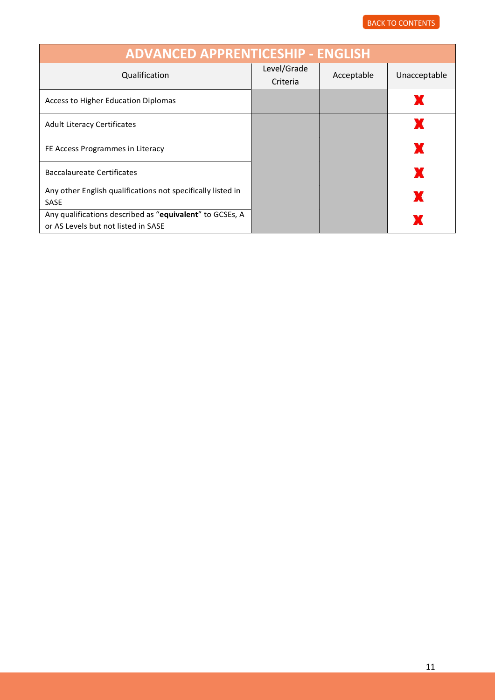| <b>ADVANCED APPRENTICESHIP - ENGLISH</b>                                                        |                         |            |              |  |
|-------------------------------------------------------------------------------------------------|-------------------------|------------|--------------|--|
| Qualification                                                                                   | Level/Grade<br>Criteria | Acceptable | Unacceptable |  |
| Access to Higher Education Diplomas                                                             |                         |            | ж            |  |
| <b>Adult Literacy Certificates</b>                                                              |                         |            |              |  |
| FE Access Programmes in Literacy                                                                |                         |            | X            |  |
| <b>Baccalaureate Certificates</b>                                                               |                         |            | X            |  |
| Any other English qualifications not specifically listed in<br><b>SASE</b>                      |                         |            | X            |  |
| Any qualifications described as "equivalent" to GCSEs, A<br>or AS Levels but not listed in SASE |                         |            |              |  |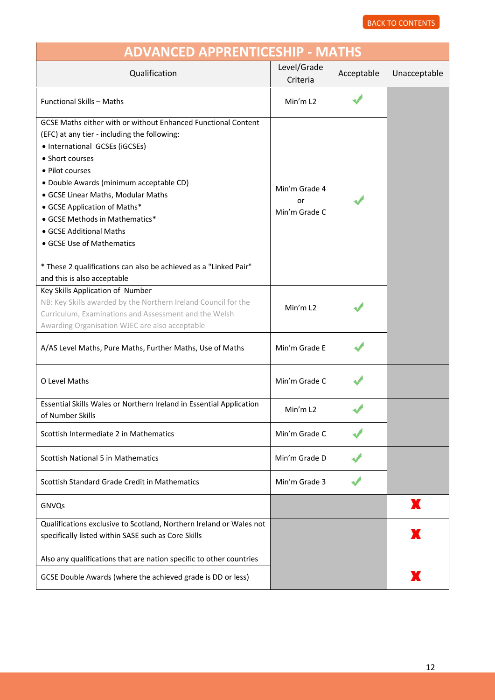<span id="page-11-0"></span>

| <b>ADVANCED APPRENTICESHIP - MATHS</b>                                                                                                                                                                                                                                                                                                                                                                                                                                                              |                                      |            |              |
|-----------------------------------------------------------------------------------------------------------------------------------------------------------------------------------------------------------------------------------------------------------------------------------------------------------------------------------------------------------------------------------------------------------------------------------------------------------------------------------------------------|--------------------------------------|------------|--------------|
| Qualification                                                                                                                                                                                                                                                                                                                                                                                                                                                                                       | Level/Grade<br>Criteria              | Acceptable | Unacceptable |
| <b>Functional Skills - Maths</b>                                                                                                                                                                                                                                                                                                                                                                                                                                                                    | Min'm L <sub>2</sub>                 |            |              |
| GCSE Maths either with or without Enhanced Functional Content<br>(EFC) at any tier - including the following:<br>• International GCSEs (iGCSEs)<br>• Short courses<br>• Pilot courses<br>· Double Awards (minimum acceptable CD)<br>• GCSE Linear Maths, Modular Maths<br>• GCSE Application of Maths*<br>• GCSE Methods in Mathematics*<br>• GCSE Additional Maths<br>• GCSE Use of Mathematics<br>* These 2 qualifications can also be achieved as a "Linked Pair"<br>and this is also acceptable | Min'm Grade 4<br>or<br>Min'm Grade C |            |              |
| Key Skills Application of Number<br>NB: Key Skills awarded by the Northern Ireland Council for the<br>Curriculum, Examinations and Assessment and the Welsh<br>Awarding Organisation WJEC are also acceptable                                                                                                                                                                                                                                                                                       | Min'm L <sub>2</sub>                 |            |              |
| A/AS Level Maths, Pure Maths, Further Maths, Use of Maths                                                                                                                                                                                                                                                                                                                                                                                                                                           | Min'm Grade E                        |            |              |
| O Level Maths                                                                                                                                                                                                                                                                                                                                                                                                                                                                                       | Min'm Grade C                        |            |              |
| Essential Skills Wales or Northern Ireland in Essential Application<br>of Number Skills                                                                                                                                                                                                                                                                                                                                                                                                             | Min'm L2                             |            |              |
| Scottish Intermediate 2 in Mathematics                                                                                                                                                                                                                                                                                                                                                                                                                                                              | Min'm Grade C                        |            |              |
| <b>Scottish National 5 in Mathematics</b>                                                                                                                                                                                                                                                                                                                                                                                                                                                           | Min'm Grade D                        |            |              |
| Scottish Standard Grade Credit in Mathematics                                                                                                                                                                                                                                                                                                                                                                                                                                                       | Min'm Grade 3                        |            |              |
| GNVQs                                                                                                                                                                                                                                                                                                                                                                                                                                                                                               |                                      |            | x            |
| Qualifications exclusive to Scotland, Northern Ireland or Wales not<br>specifically listed within SASE such as Core Skills                                                                                                                                                                                                                                                                                                                                                                          |                                      |            | Ж            |
| Also any qualifications that are nation specific to other countries                                                                                                                                                                                                                                                                                                                                                                                                                                 |                                      |            |              |
| GCSE Double Awards (where the achieved grade is DD or less)                                                                                                                                                                                                                                                                                                                                                                                                                                         |                                      |            | X            |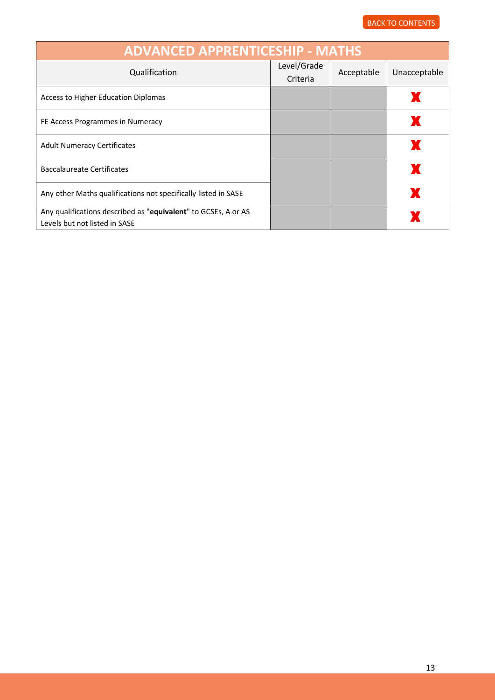| <b>ADVANCED APPRENTICESHIP - MATHS</b>                                                          |                         |            |              |
|-------------------------------------------------------------------------------------------------|-------------------------|------------|--------------|
| Qualification                                                                                   | Level/Grade<br>Criteria | Acceptable | Unacceptable |
| Access to Higher Education Diplomas                                                             |                         |            |              |
| FE Access Programmes in Numeracy                                                                |                         |            |              |
| <b>Adult Numeracy Certificates</b>                                                              |                         |            | ж            |
| Baccalaureate Certificates                                                                      |                         |            |              |
| Any other Maths qualifications not specifically listed in SASE                                  |                         |            |              |
| Any qualifications described as "equivalent" to GCSEs, A or AS<br>Levels but not listed in SASE |                         |            |              |